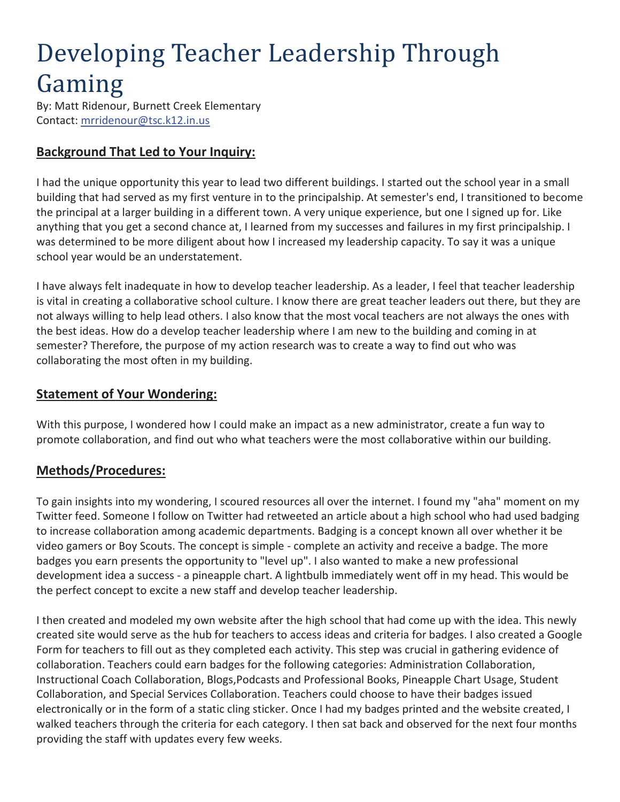# Developing Teacher Leadership Through Gaming

By: Matt Ridenour, Burnett Creek Elementary Contact: mrridenour@tsc.k12.in.us

#### **Background That Led to Your Inquiry:**

I had the unique opportunity this year to lead two different buildings. I started out the school year in a small building that had served as my first venture in to the principalship. At semester's end, I transitioned to become the principal at a larger building in a different town. A very unique experience, but one I signed up for. Like anything that you get a second chance at, I learned from my successes and failures in my first principalship. I was determined to be more diligent about how I increased my leadership capacity. To say it was a unique school year would be an understatement.

I have always felt inadequate in how to develop teacher leadership. As a leader, I feel that teacher leadership is vital in creating a collaborative school culture. I know there are great teacher leaders out there, but they are not always willing to help lead others. I also know that the most vocal teachers are not always the ones with the best ideas. How do a develop teacher leadership where I am new to the building and coming in at semester? Therefore, the purpose of my action research was to create a way to find out who was collaborating the most often in my building.

#### **Statement of Your Wondering:**

With this purpose, I wondered how I could make an impact as a new administrator, create a fun way to promote collaboration, and find out who what teachers were the most collaborative within our building.

#### **Methods/Procedures:**

To gain insights into my wondering, I scoured resources all over the internet. I found my "aha" moment on my Twitter feed. Someone I follow on Twitter had retweeted an article about a high school who had used badging to increase collaboration among academic departments. Badging is a concept known all over whether it be video gamers or Boy Scouts. The concept is simple - complete an activity and receive a badge. The more badges you earn presents the opportunity to "level up". I also wanted to make a new professional development idea a success - a pineapple chart. A lightbulb immediately went off in my head. This would be the perfect concept to excite a new staff and develop teacher leadership.

I then created and modeled my own website after the high school that had come up with the idea. This newly created site would serve as the hub for teachers to access ideas and criteria for badges. I also created a Google Form for teachers to fill out as they completed each activity. This step was crucial in gathering evidence of collaboration. Teachers could earn badges for the following categories: Administration Collaboration, Instructional Coach Collaboration, Blogs,Podcasts and Professional Books, Pineapple Chart Usage, Student Collaboration, and Special Services Collaboration. Teachers could choose to have their badges issued electronically or in the form of a static cling sticker. Once I had my badges printed and the website created, I walked teachers through the criteria for each category. I then sat back and observed for the next four months providing the staff with updates every few weeks.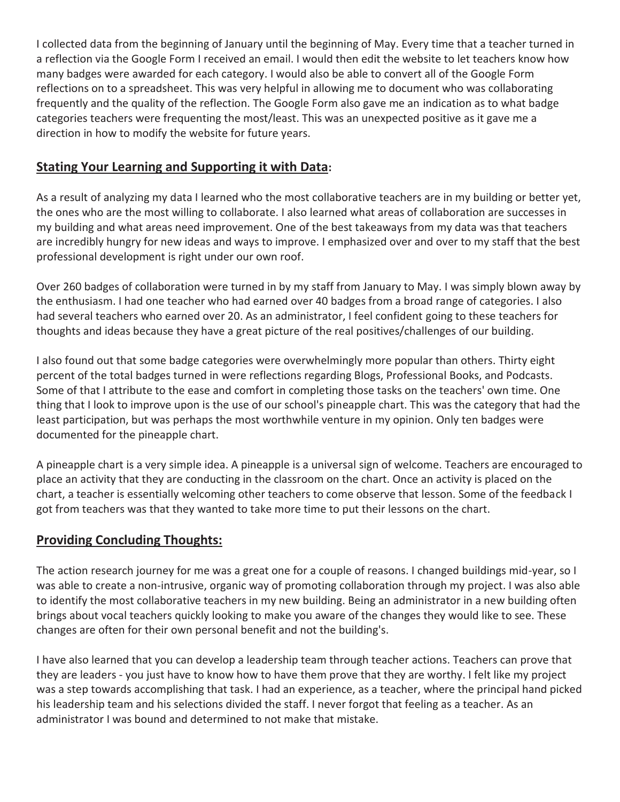I collected data from the beginning of January until the beginning of May. Every time that a teacher turned in a reflection via the Google Form I received an email. I would then edit the website to let teachers know how many badges were awarded for each category. I would also be able to convert all of the Google Form reflections on to a spreadsheet. This was very helpful in allowing me to document who was collaborating frequently and the quality of the reflection. The Google Form also gave me an indication as to what badge categories teachers were frequenting the most/least. This was an unexpected positive as it gave me a direction in how to modify the website for future years.

#### **Stating Your Learning and Supporting it with Data:**

As a result of analyzing my data I learned who the most collaborative teachers are in my building or better yet, the ones who are the most willing to collaborate. I also learned what areas of collaboration are successes in my building and what areas need improvement. One of the best takeaways from my data was that teachers are incredibly hungry for new ideas and ways to improve. I emphasized over and over to my staff that the best professional development is right under our own roof.

Over 260 badges of collaboration were turned in by my staff from January to May. I was simply blown away by the enthusiasm. I had one teacher who had earned over 40 badges from a broad range of categories. I also had several teachers who earned over 20. As an administrator, I feel confident going to these teachers for thoughts and ideas because they have a great picture of the real positives/challenges of our building.

I also found out that some badge categories were overwhelmingly more popular than others. Thirty eight percent of the total badges turned in were reflections regarding Blogs, Professional Books, and Podcasts. Some of that I attribute to the ease and comfort in completing those tasks on the teachers' own time. One thing that I look to improve upon is the use of our school's pineapple chart. This was the category that had the least participation, but was perhaps the most worthwhile venture in my opinion. Only ten badges were documented for the pineapple chart.

A pineapple chart is a very simple idea. A pineapple is a universal sign of welcome. Teachers are encouraged to place an activity that they are conducting in the classroom on the chart. Once an activity is placed on the chart, a teacher is essentially welcoming other teachers to come observe that lesson. Some of the feedback I got from teachers was that they wanted to take more time to put their lessons on the chart.

### **Providing Concluding Thoughts:**

The action research journey for me was a great one for a couple of reasons. I changed buildings mid-year, so I was able to create a non-intrusive, organic way of promoting collaboration through my project. I was also able to identify the most collaborative teachers in my new building. Being an administrator in a new building often brings about vocal teachers quickly looking to make you aware of the changes they would like to see. These changes are often for their own personal benefit and not the building's.

I have also learned that you can develop a leadership team through teacher actions. Teachers can prove that they are leaders - you just have to know how to have them prove that they are worthy. I felt like my project was a step towards accomplishing that task. I had an experience, as a teacher, where the principal hand picked his leadership team and his selections divided the staff. I never forgot that feeling as a teacher. As an administrator I was bound and determined to not make that mistake.